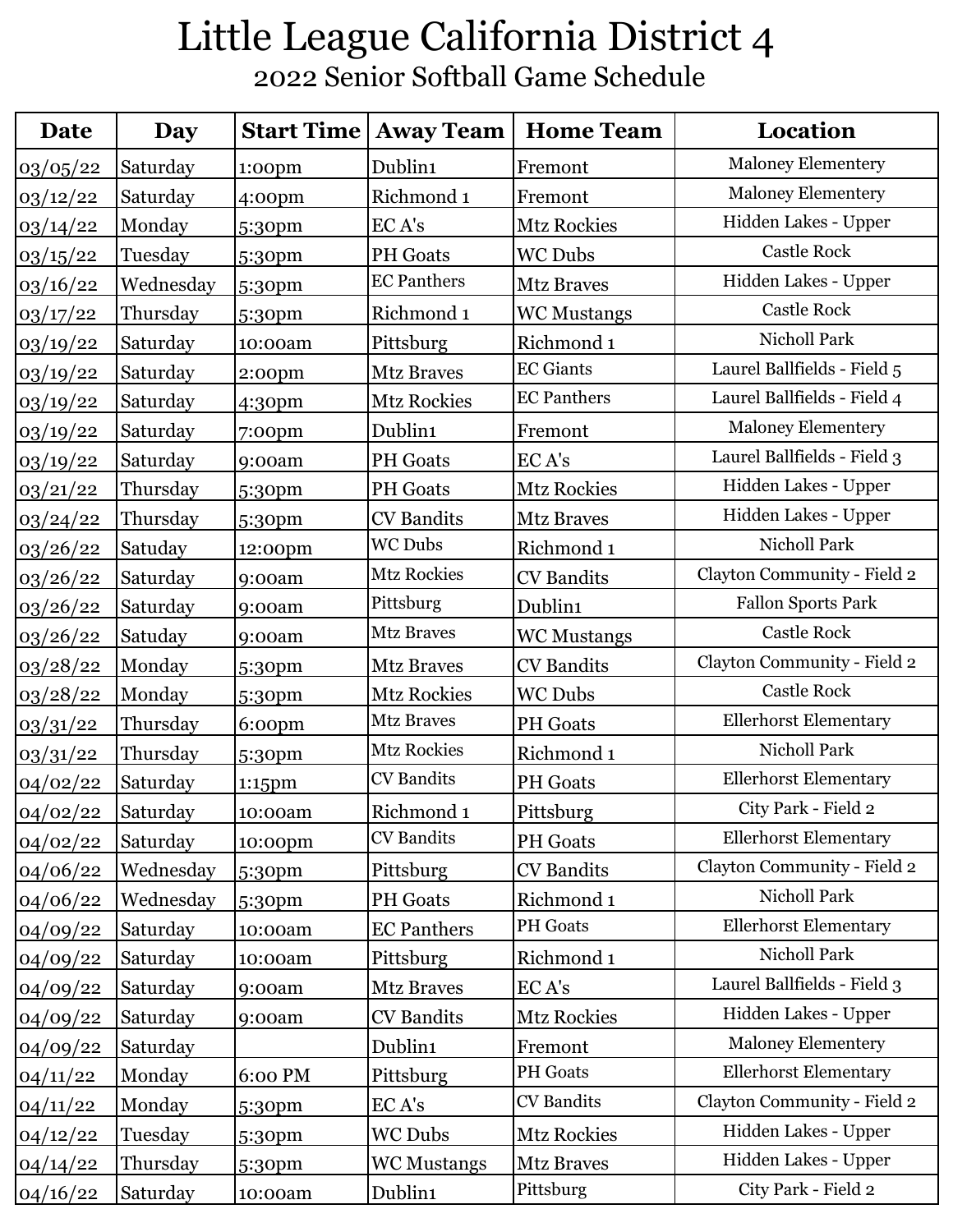## Little League California District 4 2022 Senior Softball Game Schedule

| Date     | Day       | <b>Start Time</b>  | <b>Away Team</b>   | <b>Home Team</b>      | Location                     |
|----------|-----------|--------------------|--------------------|-----------------------|------------------------------|
| 03/05/22 | Saturday  | $1:00$ pm          | Dublin1            | Fremont               | <b>Maloney Elementery</b>    |
| 03/12/22 | Saturday  | 4:00 <sub>pm</sub> | Richmond 1         | Fremont               | <b>Maloney Elementery</b>    |
| 03/14/22 | Monday    | 5:30pm             | EC A's             | <b>Mtz Rockies</b>    | Hidden Lakes - Upper         |
| 03/15/22 | Tuesday   | 5:30pm             | <b>PH</b> Goats    | <b>WC Dubs</b>        | <b>Castle Rock</b>           |
| 03/16/22 | Wednesday | 5:30pm             | <b>EC Panthers</b> | <b>Mtz Braves</b>     | Hidden Lakes - Upper         |
| 03/17/22 | Thursday  | 5:30pm             | Richmond 1         | <b>WC Mustangs</b>    | <b>Castle Rock</b>           |
| 03/19/22 | Saturday  | 10:00am            | Pittsburg          | Richmond 1            | Nicholl Park                 |
| 03/19/22 | Saturday  | 2:00 <sub>pm</sub> | <b>Mtz Braves</b>  | <b>EC Giants</b>      | Laurel Ballfields - Field 5  |
| 03/19/22 | Saturday  | 4:30pm             | <b>Mtz Rockies</b> | <b>EC Panthers</b>    | Laurel Ballfields - Field 4  |
| 03/19/22 | Saturday  | $7:00$ pm          | Dublin1            | Fremont               | Maloney Elementery           |
| 03/19/22 | Saturday  | 9:00am             | <b>PH</b> Goats    | EC A's                | Laurel Ballfields - Field 3  |
| 03/21/22 | Thursday  | 5:30pm             | <b>PH</b> Goats    | <b>Mtz Rockies</b>    | Hidden Lakes - Upper         |
| 03/24/22 | Thursday  | 5:30pm             | <b>CV</b> Bandits  | <b>Mtz Braves</b>     | Hidden Lakes - Upper         |
| 03/26/22 | Satuday   | 12:00pm            | <b>WC Dubs</b>     | Richmond <sub>1</sub> | Nicholl Park                 |
| 03/26/22 | Saturday  | 9:00am             | <b>Mtz Rockies</b> | <b>CV</b> Bandits     | Clayton Community - Field 2  |
| 03/26/22 | Saturday  | 9:00am             | Pittsburg          | Dublin1               | <b>Fallon Sports Park</b>    |
| 03/26/22 | Satuday   | 9:00am             | <b>Mtz Braves</b>  | <b>WC Mustangs</b>    | <b>Castle Rock</b>           |
| 03/28/22 | Monday    | 5:30pm             | <b>Mtz Braves</b>  | <b>CV</b> Bandits     | Clayton Community - Field 2  |
| 03/28/22 | Monday    | 5:30pm             | <b>Mtz Rockies</b> | <b>WC Dubs</b>        | <b>Castle Rock</b>           |
| 03/31/22 | Thursday  | 6:00pm             | <b>Mtz Braves</b>  | <b>PH</b> Goats       | <b>Ellerhorst Elementary</b> |
| 03/31/22 | Thursday  | 5:30pm             | <b>Mtz Rockies</b> | Richmond 1            | Nicholl Park                 |
| 04/02/22 | Saturday  | 1:15pm             | <b>CV</b> Bandits  | <b>PH</b> Goats       | <b>Ellerhorst Elementary</b> |
| 04/02/22 | Saturday  | 10:00am            | Richmond 1         | Pittsburg             | City Park - Field 2          |
| 04/02/22 | Saturday  | 10:00pm            | <b>CV</b> Bandits  | <b>PH</b> Goats       | <b>Ellerhorst Elementary</b> |
| 04/06/22 | Wednesday | 5:30pm             | Pittsburg          | <b>CV</b> Bandits     | Clayton Community - Field 2  |
| 04/06/22 | Wednesday | 5:30pm             | <b>PH</b> Goats    | Richmond 1            | Nicholl Park                 |
| 04/09/22 | Saturday  | 10:00am            | <b>EC Panthers</b> | <b>PH</b> Goats       | <b>Ellerhorst Elementary</b> |
| 04/09/22 | Saturday  | 10:00am            | Pittsburg          | Richmond 1            | Nicholl Park                 |
| 04/09/22 | Saturday  | 9:00am             | <b>Mtz Braves</b>  | EC A's                | Laurel Ballfields - Field 3  |
| 04/09/22 | Saturday  | 9:00am             | <b>CV</b> Bandits  | <b>Mtz Rockies</b>    | Hidden Lakes - Upper         |
| 04/09/22 | Saturday  |                    | Dublin1            | Fremont               | <b>Maloney Elementery</b>    |
| 04/11/22 | Monday    | 6:00 PM            | Pittsburg          | PH Goats              | <b>Ellerhorst Elementary</b> |
| 04/11/22 | Monday    | 5:30pm             | EC A's             | <b>CV</b> Bandits     | Clayton Community - Field 2  |
| 04/12/22 | Tuesday   | 5:30pm             | WC Dubs            | <b>Mtz Rockies</b>    | Hidden Lakes - Upper         |
| 04/14/22 | Thursday  | 5:30pm             | <b>WC Mustangs</b> | <b>Mtz Braves</b>     | Hidden Lakes - Upper         |
| 04/16/22 | Saturday  | 10:00am            | Dublin1            | Pittsburg             | City Park - Field 2          |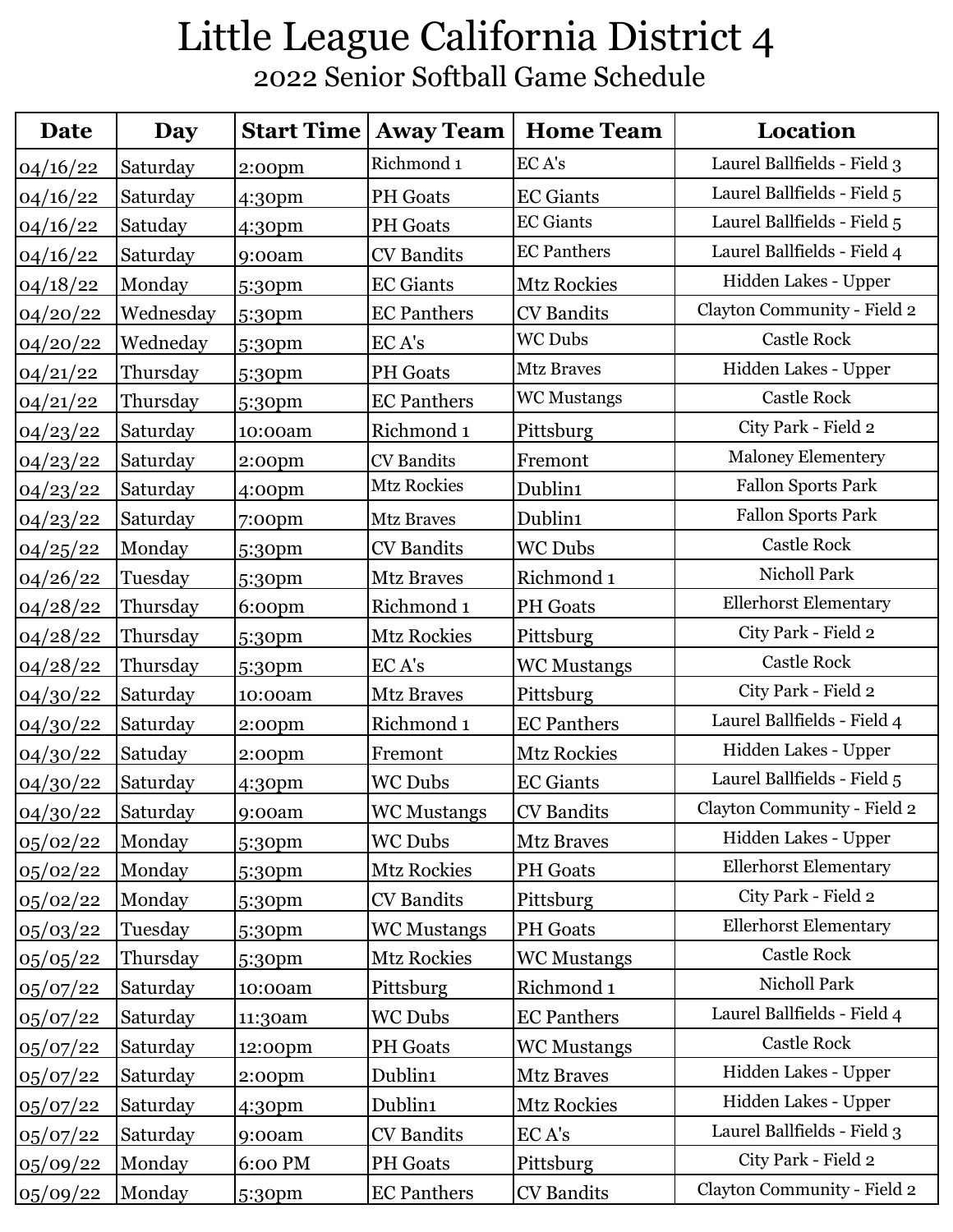## Little League California District 4 2022 Senior Softball Game Schedule

| Date     | Day       | <b>Start Time</b>  | <b>Away Team</b>   | <b>Home Team</b>   | Location                     |
|----------|-----------|--------------------|--------------------|--------------------|------------------------------|
| 04/16/22 | Saturday  | 2:00 <sub>pm</sub> | Richmond 1         | EC A's             | Laurel Ballfields - Field 3  |
| 04/16/22 | Saturday  | 4:30pm             | <b>PH</b> Goats    | <b>EC</b> Giants   | Laurel Ballfields - Field 5  |
| 04/16/22 | Satuday   | 4:30pm             | <b>PH</b> Goats    | <b>EC Giants</b>   | Laurel Ballfields - Field 5  |
| 04/16/22 | Saturday  | 9:00am             | <b>CV</b> Bandits  | <b>EC Panthers</b> | Laurel Ballfields - Field 4  |
| 04/18/22 | Monday    | 5:30pm             | <b>EC</b> Giants   | <b>Mtz Rockies</b> | Hidden Lakes - Upper         |
| 04/20/22 | Wednesday | 5:30 <sub>pm</sub> | <b>EC Panthers</b> | <b>CV</b> Bandits  | Clayton Community - Field 2  |
| 04/20/22 | Wedneday  | 5:30pm             | EC A's             | <b>WC Dubs</b>     | <b>Castle Rock</b>           |
| 04/21/22 | Thursday  | 5:30pm             | <b>PH</b> Goats    | <b>Mtz Braves</b>  | Hidden Lakes - Upper         |
| 04/21/22 | Thursday  | 5:30pm             | <b>EC Panthers</b> | <b>WC Mustangs</b> | <b>Castle Rock</b>           |
| 04/23/22 | Saturday  | 10:00am            | Richmond 1         | Pittsburg          | City Park - Field 2          |
| 04/23/22 | Saturday  | 2:00 <sub>pm</sub> | <b>CV</b> Bandits  | Fremont            | Maloney Elementery           |
| 04/23/22 | Saturday  | 4:00 <sub>pm</sub> | <b>Mtz Rockies</b> | Dublin1            | Fallon Sports Park           |
| 04/23/22 | Saturday  | $7:00$ pm          | <b>Mtz Braves</b>  | Dublin1            | Fallon Sports Park           |
| 04/25/22 | Monday    | 5:30pm             | <b>CV</b> Bandits  | <b>WC Dubs</b>     | <b>Castle Rock</b>           |
| 04/26/22 | Tuesday   | 5:30pm             | <b>Mtz Braves</b>  | Richmond 1         | Nicholl Park                 |
| 04/28/22 | Thursday  | 6:00 <sub>pm</sub> | Richmond 1         | <b>PH</b> Goats    | <b>Ellerhorst Elementary</b> |
| 04/28/22 | Thursday  | 5:30pm             | Mtz Rockies        | Pittsburg          | City Park - Field 2          |
| 04/28/22 | Thursday  | 5:30pm             | EC A's             | <b>WC Mustangs</b> | <b>Castle Rock</b>           |
| 04/30/22 | Saturday  | 10:00am            | <b>Mtz Braves</b>  | Pittsburg          | City Park - Field 2          |
| 04/30/22 | Saturday  | 2:00pm             | Richmond 1         | <b>EC Panthers</b> | Laurel Ballfields - Field 4  |
| 04/30/22 | Satuday   | 2:00 <sub>pm</sub> | Fremont            | Mtz Rockies        | Hidden Lakes - Upper         |
| 04/30/22 | Saturday  | 4:30pm             | <b>WC Dubs</b>     | <b>EC Giants</b>   | Laurel Ballfields - Field 5  |
| 04/30/22 | Saturday  | 9:00am             | WC Mustangs        | CV Bandits         | Clayton Community - Field 2  |
| 05/02/22 | Monday    | 5:30pm             | <b>WC Dubs</b>     | <b>Mtz Braves</b>  | Hidden Lakes - Upper         |
| 05/02/22 | Monday    | 5:30pm             | Mtz Rockies        | <b>PH</b> Goats    | <b>Ellerhorst Elementary</b> |
| 05/02/22 | Monday    | 5:30pm             | <b>CV</b> Bandits  | Pittsburg          | City Park - Field 2          |
| 05/03/22 | Tuesday   | 5:30pm             | <b>WC Mustangs</b> | <b>PH</b> Goats    | <b>Ellerhorst Elementary</b> |
| 05/05/22 | Thursday  | 5:30pm             | <b>Mtz Rockies</b> | <b>WC Mustangs</b> | <b>Castle Rock</b>           |
| 05/07/22 | Saturday  | 10:00am            | Pittsburg          | Richmond 1         | Nicholl Park                 |
| 05/07/22 | Saturday  | 11:30am            | <b>WC Dubs</b>     | <b>EC Panthers</b> | Laurel Ballfields - Field 4  |
| 05/07/22 | Saturday  | 12:00pm            | <b>PH</b> Goats    | <b>WC Mustangs</b> | <b>Castle Rock</b>           |
| 05/07/22 | Saturday  | 2:00 <sub>pm</sub> | Dublin1            | <b>Mtz Braves</b>  | Hidden Lakes - Upper         |
| 05/07/22 | Saturday  | 4:30pm             | Dublin1            | Mtz Rockies        | Hidden Lakes - Upper         |
| 05/07/22 | Saturday  | 9:00am             | <b>CV</b> Bandits  | EC A's             | Laurel Ballfields - Field 3  |
| 05/09/22 | Monday    | 6:00 PM            | PH Goats           | Pittsburg          | City Park - Field 2          |
| 05/09/22 | Monday    | 5:30pm             | <b>EC Panthers</b> | CV Bandits         | Clayton Community - Field 2  |